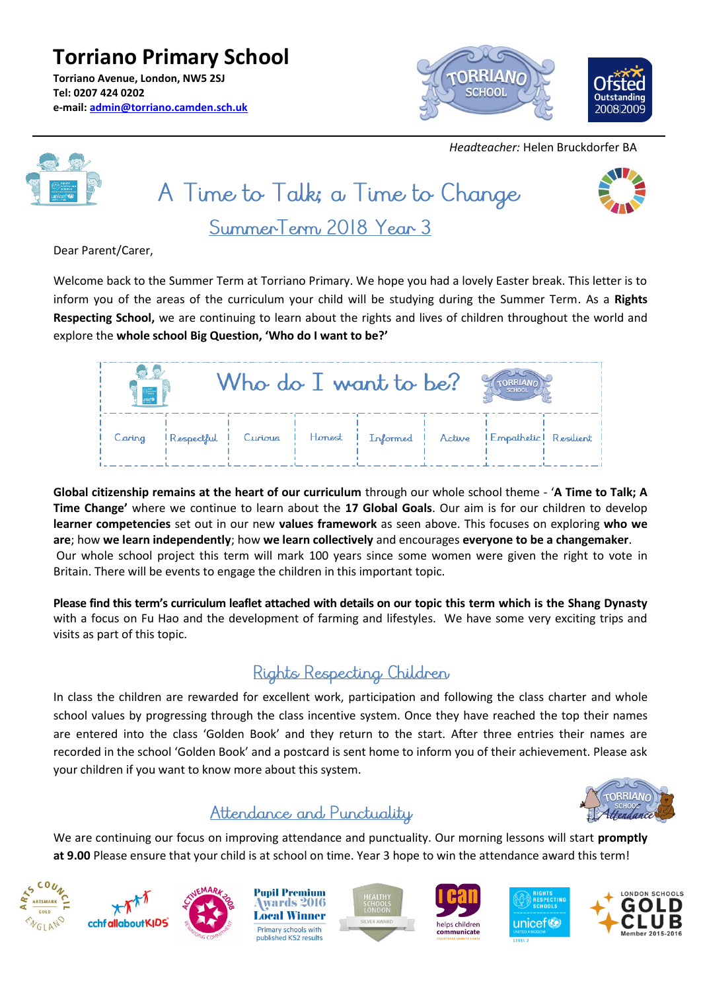**Torriano Primary School Torriano Avenue, London, NW5 2SJ Tel: 0207 424 0202 e-mail: [admin@torriano.camden.sch.uk](mailto:admin@torriano.camden.sch.uk)**



 *Headteacher:* Helen Bruckdorfer BA

A Time to Talk; a Time to Change SummerTerm 2018 Year 3



Dear Parent/Carer,

Welcome back to the Summer Term at Torriano Primary. We hope you had a lovely Easter break. This letter is to inform you of the areas of the curriculum your child will be studying during the Summer Term. As a **Rights Respecting School,** we are continuing to learn about the rights and lives of children throughout the world and explore the **whole school Big Question, 'Who do I want to be?'**

| $\frac{1}{\frac{1}{\csc \theta}}$ |            | Who do I want to be? |  | <b>SCHOOL</b>                                                   |  |
|-----------------------------------|------------|----------------------|--|-----------------------------------------------------------------|--|
| Caring                            | Respectful |                      |  | I Curious I Honest I Informed   Active   Empathetic   Resilient |  |

**Global citizenship remains at the heart of our curriculum** through our whole school theme - '**A Time to Talk; A Time Change'** where we continue to learn about the **17 Global Goals**. Our aim is for our children to develop **learner competencies** set out in our new **values framework** as seen above. This focuses on exploring **who we are**; how **we learn independently**; how **we learn collectively** and encourages **everyone to be a changemaker**. Our whole school project this term will mark 100 years since some women were given the right to vote in Britain. There will be events to engage the children in this important topic.

**Please find this term's curriculum leaflet attached with details on our topic this term which is the Shang Dynasty** with a focus on Fu Hao and the development of farming and lifestyles. We have some very exciting trips and visits as part of this topic.

## Rights Respecting Children

In class the children are rewarded for excellent work, participation and following the class charter and whole school values by progressing through the class incentive system. Once they have reached the top their names are entered into the class 'Golden Book' and they return to the start. After three entries their names are recorded in the school 'Golden Book' and a postcard is sent home to inform you of their achievement. Please ask your children if you want to know more about this system.



## Attendance and Punctuality

We are continuing our focus on improving attendance and punctuality. Our morning lessons will start **promptly at 9.00** Please ensure that your child is at school on time. Year 3 hope to win the attendance award this term!







**Pupil Premium** wards 2016 **Local Winner** Primary schools with published KS2 results







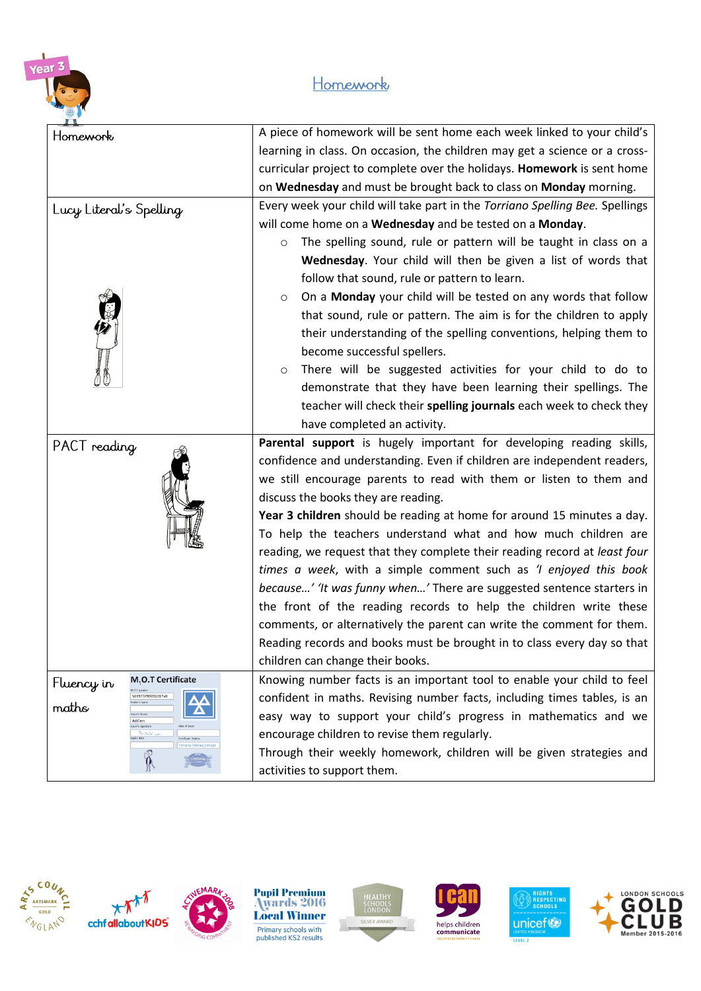

## Homework

| Homework                                     | A piece of homework will be sent home each week linked to your child's       |  |  |  |
|----------------------------------------------|------------------------------------------------------------------------------|--|--|--|
|                                              | learning in class. On occasion, the children may get a science or a cross-   |  |  |  |
|                                              | curricular project to complete over the holidays. Homework is sent home      |  |  |  |
|                                              | on Wednesday and must be brought back to class on Monday morning.            |  |  |  |
| Lucy Literal's Spelling                      | Every week your child will take part in the Torriano Spelling Bee. Spellings |  |  |  |
|                                              | will come home on a Wednesday and be tested on a Monday.                     |  |  |  |
|                                              | The spelling sound, rule or pattern will be taught in class on a<br>$\circ$  |  |  |  |
|                                              | Wednesday. Your child will then be given a list of words that                |  |  |  |
|                                              | follow that sound, rule or pattern to learn.                                 |  |  |  |
|                                              | On a Monday your child will be tested on any words that follow<br>$\circ$    |  |  |  |
|                                              | that sound, rule or pattern. The aim is for the children to apply            |  |  |  |
|                                              | their understanding of the spelling conventions, helping them to             |  |  |  |
|                                              | become successful spellers.                                                  |  |  |  |
| <b>DESCRIPTIONS</b>                          | There will be suggested activities for your child to do to<br>$\circ$        |  |  |  |
|                                              | demonstrate that they have been learning their spellings. The                |  |  |  |
|                                              | teacher will check their spelling journals each week to check they           |  |  |  |
|                                              | have completed an activity.                                                  |  |  |  |
| PACT reading                                 | Parental support is hugely important for developing reading skills,          |  |  |  |
|                                              | confidence and understanding. Even if children are independent readers,      |  |  |  |
|                                              | we still encourage parents to read with them or listen to them and           |  |  |  |
|                                              | discuss the books they are reading.                                          |  |  |  |
|                                              | Year 3 children should be reading at home for around 15 minutes a day.       |  |  |  |
|                                              | To help the teachers understand what and how much children are               |  |  |  |
|                                              | reading, we request that they complete their reading record at least four    |  |  |  |
|                                              | times a week, with a simple comment such as 'I enjoyed this book             |  |  |  |
|                                              | because' 'It was funny when' There are suggested sentence starters in        |  |  |  |
|                                              | the front of the reading records to help the children write these            |  |  |  |
|                                              | comments, or alternatively the parent can write the comment for them.        |  |  |  |
|                                              | Reading records and books must be brought in to class every day so that      |  |  |  |
|                                              | children can change their books.                                             |  |  |  |
| M <sub>2</sub> O.T Certificate<br>Fluency in | Knowing number facts is an important tool to enable your child to feel       |  |  |  |
| 569973799092017x0<br>maths                   | confident in maths. Revising number facts, including times tables, is an     |  |  |  |
| Add'em<br>er's signature                     | easy way to support your child's progress in mathematics and we              |  |  |  |
| k                                            | encourage children to revise them regularly.                                 |  |  |  |
| $\hat{\mathfrak{h}}$                         | Through their weekly homework, children will be given strategies and         |  |  |  |
|                                              | activities to support them.                                                  |  |  |  |







**Pupil Premium<br>Awards 2016<br>Local Winner** Primary schools with<br>published KS2 results